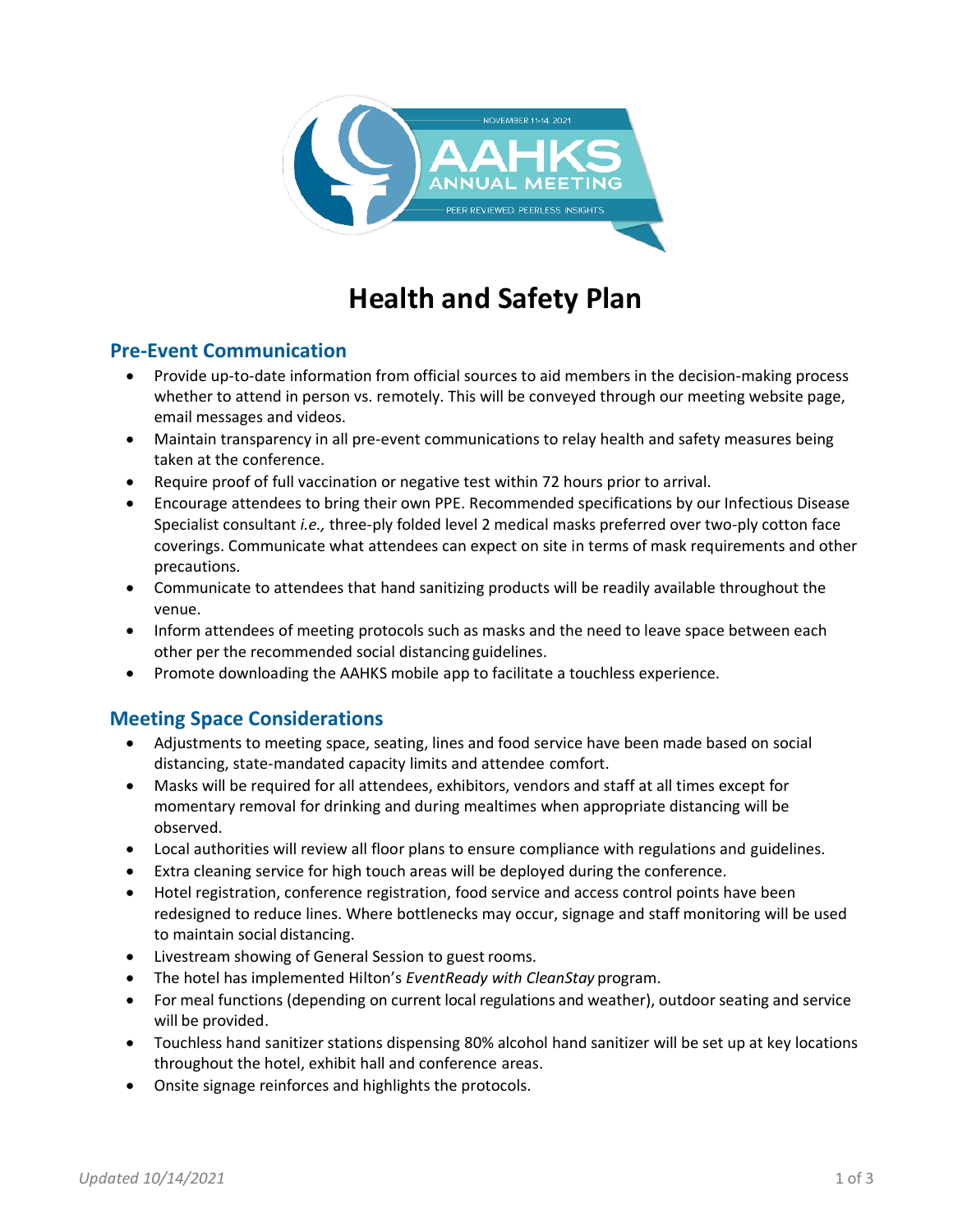

# **Health and Safety Plan**

## **Pre-Event Communication**

- Provide up-to-date information from official sources to aid members in the decision-making process whether to attend in person vs. remotely. This will be conveyed through our meeting website page, email messages and videos.
- Maintain transparency in all pre-event communications to relay health and safety measures being taken at the conference.
- Require proof of full vaccination or negative test within 72 hours prior to arrival.
- Encourage attendees to bring their own PPE. Recommended specifications by our Infectious Disease Specialist consultant *i.e.,* three-ply folded level 2 medical masks preferred over two-ply cotton face coverings. Communicate what attendees can expect on site in terms of mask requirements and other precautions.
- Communicate to attendees that hand sanitizing products will be readily available throughout the venue.
- Inform attendees of meeting protocols such as masks and the need to leave space between each other per the recommended social distancing guidelines.
- Promote downloading the AAHKS mobile app to facilitate a touchless experience.

## **Meeting Space Considerations**

- Adjustments to meeting space, seating, lines and food service have been made based on social distancing, state-mandated capacity limits and attendee comfort.
- Masks will be required for all attendees, exhibitors, vendors and staff at all times except for momentary removal for drinking and during mealtimes when appropriate distancing will be observed.
- Local authorities will review all floor plans to ensure compliance with regulations and guidelines.
- Extra cleaning service for high touch areas will be deployed during the conference.
- Hotel registration, conference registration, food service and access control points have been redesigned to reduce lines. Where bottlenecks may occur, signage and staff monitoring will be used to maintain social distancing.
- Livestream showing of General Session to guest rooms.
- The hotel has implemented Hilton's *EventReady with CleanStay* program.
- For meal functions (depending on current local regulations and weather), outdoor seating and service will be provided.
- Touchless hand sanitizer stations dispensing 80% alcohol hand sanitizer will be set up at key locations throughout the hotel, exhibit hall and conference areas.
- Onsite signage reinforces and highlights the protocols.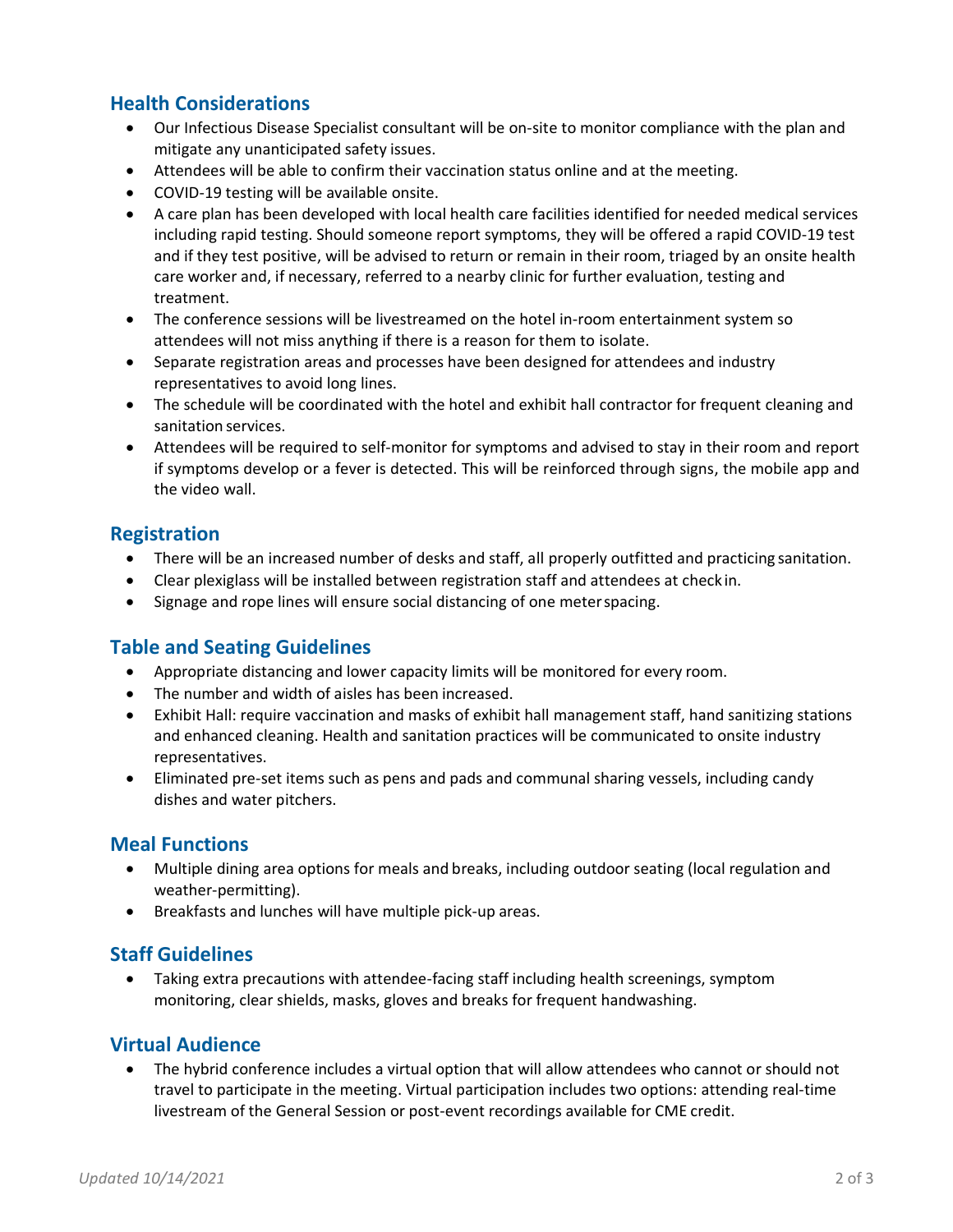## **Health Considerations**

- Our Infectious Disease Specialist consultant will be on-site to monitor compliance with the plan and mitigate any unanticipated safety issues.
- Attendees will be able to confirm their vaccination status online and at the meeting.
- COVID-19 testing will be available onsite.
- A care plan has been developed with local health care facilities identified for needed medical services including rapid testing. Should someone report symptoms, they will be offered a rapid COVID-19 test and if they test positive, will be advised to return or remain in their room, triaged by an onsite health care worker and, if necessary, referred to a nearby clinic for further evaluation, testing and treatment.
- The conference sessions will be livestreamed on the hotel in-room entertainment system so attendees will not miss anything if there is a reason for them to isolate.
- Separate registration areas and processes have been designed for attendees and industry representatives to avoid long lines.
- The schedule will be coordinated with the hotel and exhibit hall contractor for frequent cleaning and sanitation services.
- Attendees will be required to self-monitor for symptoms and advised to stay in their room and report if symptoms develop or a fever is detected. This will be reinforced through signs, the mobile app and the video wall.

### **Registration**

- There will be an increased number of desks and staff, all properly outfitted and practicing sanitation.
- Clear plexiglass will be installed between registration staff and attendees at checkin.
- Signage and rope lines will ensure social distancing of one meterspacing.

### **Table and Seating Guidelines**

- Appropriate distancing and lower capacity limits will be monitored for every room.
- The number and width of aisles has been increased.
- Exhibit Hall: require vaccination and masks of exhibit hall management staff, hand sanitizing stations and enhanced cleaning. Health and sanitation practices will be communicated to onsite industry representatives.
- Eliminated pre-set items such as pens and pads and communal sharing vessels, including candy dishes and water pitchers.

### **Meal Functions**

- Multiple dining area options for meals and breaks, including outdoor seating (local regulation and weather-permitting).
- Breakfasts and lunches will have multiple pick-up areas.

### **Staff Guidelines**

• Taking extra precautions with attendee-facing staff including health screenings, symptom monitoring, clear shields, masks, gloves and breaks for frequent handwashing.

### **Virtual Audience**

• The hybrid conference includes a virtual option that will allow attendees who cannot or should not travel to participate in the meeting. Virtual participation includes two options: attending real-time livestream of the General Session or post-event recordings available for CME credit.